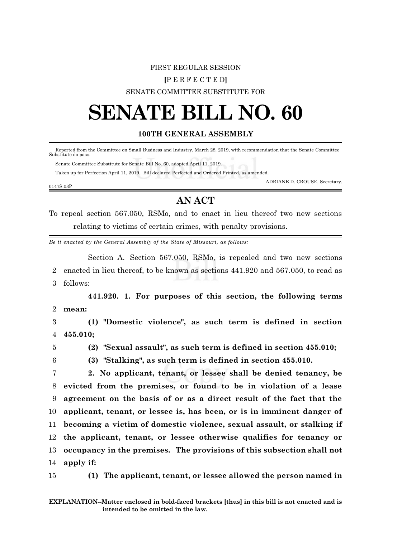#### FIRST REGULAR SESSION

### **[**P E R F E C T E D**]**

## SENATE COMMITTEE SUBSTITUTE FOR

# **SENATE BILL NO. 60**

# **100TH GENERAL ASSEMBLY**

 Reported from the Committee on Small Business and Industry, March 28, 2019, with recommendation that the Senate Committee Substitute do pass.

Senate Committee Substitute for Senate Bill No. 60, adopted April 11, 2019.

Taken up for Perfection April 11, 2019. Bill declared Perfected and Ordered Printed, as amended.

ADRIANE D. CROUSE, Secretary.

0147S.03P

# **AN ACT**

To repeal section 567.050, RSMo, and to enact in lieu thereof two new sections relating to victims of certain crimes, with penalty provisions.

*Be it enacted by the General Assembly of the State of Missouri, as follows:*

Section A. Section 567.050, RSMo, is repealed and two new sections 2 enacted in lieu thereof, to be known as sections 441.920 and 567.050, to read as 3 follows:

**441.920. 1. For purposes of this section, the following terms** 2 **mean:**

3 **(1) "Domestic violence", as such term is defined in section** 4 **455.010;**

5 **(2) "Sexual assault", as such term is defined in section 455.010;**

6 **(3) "Stalking", as such term is defined in section 455.010.**

 **2. No applicant, tenant, or lessee shall be denied tenancy, be evicted from the premises, or found to be in violation of a lease agreement on the basis of or as a direct result of the fact that the applicant, tenant, or lessee is, has been, or is in imminent danger of becoming a victim of domestic violence, sexual assault, or stalking if the applicant, tenant, or lessee otherwise qualifies for tenancy or occupancy in the premises. The provisions of this subsection shall not apply if:**

15 **(1) The applicant, tenant, or lessee allowed the person named in**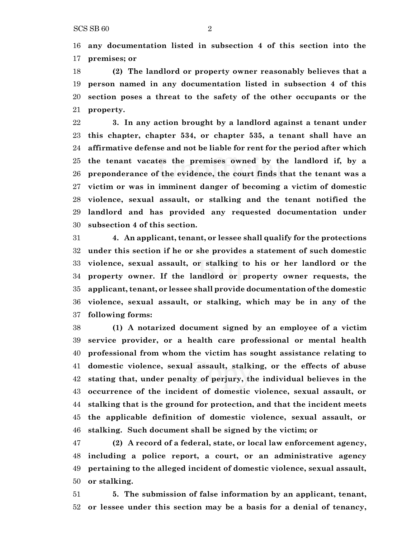**any documentation listed in subsection 4 of this section into the premises; or**

 **(2) The landlord or property owner reasonably believes that a person named in any documentation listed in subsection 4 of this section poses a threat to the safety of the other occupants or the property.**

 **3. In any action brought by a landlord against a tenant under this chapter, chapter 534, or chapter 535, a tenant shall have an affirmative defense and not be liable for rent for the period after which the tenant vacates the premises owned by the landlord if, by a preponderance of the evidence, the court finds that the tenant was a victim or was in imminent danger of becoming a victim of domestic violence, sexual assault, or stalking and the tenant notified the landlord and has provided any requested documentation under subsection 4 of this section.**

 **4. An applicant, tenant, or lessee shall qualify for the protections under this section if he or she provides a statement of such domestic violence, sexual assault, or stalking to his or her landlord or the property owner. If the landlord or property owner requests, the applicant, tenant, or lessee shall provide documentation of the domestic violence, sexual assault, or stalking, which may be in any of the following forms:**

 **(1) A notarized document signed by an employee of a victim service provider, or a health care professional or mental health professional from whom the victim has sought assistance relating to domestic violence, sexual assault, stalking, or the effects of abuse stating that, under penalty of perjury, the individual believes in the occurrence of the incident of domestic violence, sexual assault, or stalking that is the ground for protection, and that the incident meets the applicable definition of domestic violence, sexual assault, or stalking. Such document shall be signed by the victim; or**

 **(2) A record of a federal, state, or local law enforcement agency, including a police report, a court, or an administrative agency pertaining to the alleged incident of domestic violence, sexual assault, or stalking.**

 **5. The submission of false information by an applicant, tenant, or lessee under this section may be a basis for a denial of tenancy,**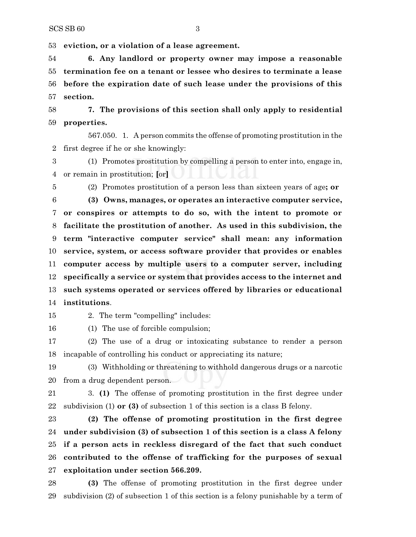**eviction, or a violation of a lease agreement.**

 **6. Any landlord or property owner may impose a reasonable termination fee on a tenant or lessee who desires to terminate a lease before the expiration date of such lease under the provisions of this section.**

 **7. The provisions of this section shall only apply to residential properties.**

567.050. 1. A person commits the offense of promoting prostitution in the first degree if he or she knowingly:

 (1) Promotes prostitution by compelling a person to enter into, engage in, or remain in prostitution; **[**or**]**

 (2) Promotes prostitution of a person less than sixteen years of age**; or (3) Owns, manages, or operates an interactive computer service, or conspires or attempts to do so, with the intent to promote or**

 **facilitate the prostitution of another. As used in this subdivision, the term "interactive computer service" shall mean: any information service, system, or access software provider that provides or enables computer access by multiple users to a computer server, including specifically a service or system that provides access to the internet and such systems operated or services offered by libraries or educational institutions**.

2. The term "compelling" includes:

(1) The use of forcible compulsion;

 (2) The use of a drug or intoxicating substance to render a person incapable of controlling his conduct or appreciating its nature;

 (3) Withholding or threatening to withhold dangerous drugs or a narcotic from a drug dependent person.

 3. **(1)** The offense of promoting prostitution in the first degree under subdivision (1) **or (3)** of subsection 1 of this section is a class B felony.

 **(2) The offense of promoting prostitution in the first degree under subdivision (3) of subsection 1 of this section is a class A felony if a person acts in reckless disregard of the fact that such conduct contributed to the offense of trafficking for the purposes of sexual exploitation under section 566.209.**

 **(3)** The offense of promoting prostitution in the first degree under subdivision (2) of subsection 1 of this section is a felony punishable by a term of